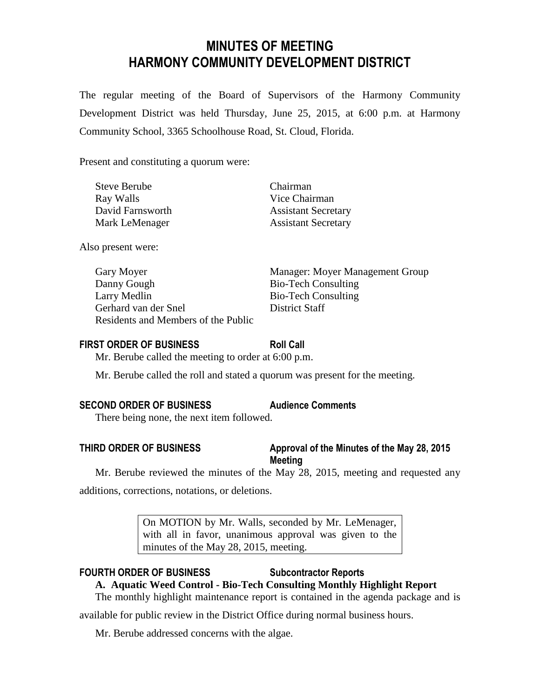# **MINUTES OF MEETING HARMONY COMMUNITY DEVELOPMENT DISTRICT**

The regular meeting of the Board of Supervisors of the Harmony Community Development District was held Thursday, June 25, 2015, at 6:00 p.m. at Harmony Community School, 3365 Schoolhouse Road, St. Cloud, Florida.

Present and constituting a quorum were:

| <b>Steve Berube</b> | Chairman                   |
|---------------------|----------------------------|
| Ray Walls           | Vice Chairman              |
| David Farnsworth    | <b>Assistant Secretary</b> |
| Mark LeMenager      | <b>Assistant Secretary</b> |

Also present were:

| Gary Moyer                          | Manager: Moyer Management Group |
|-------------------------------------|---------------------------------|
| Danny Gough                         | <b>Bio-Tech Consulting</b>      |
| Larry Medlin                        | <b>Bio-Tech Consulting</b>      |
| Gerhard van der Snel                | District Staff                  |
| Residents and Members of the Public |                                 |

### **FIRST ORDER OF BUSINESS Roll Call**

Mr. Berube called the meeting to order at 6:00 p.m.

Mr. Berube called the roll and stated a quorum was present for the meeting.

# **SECOND ORDER OF BUSINESS Audience Comments**

There being none, the next item followed.

# **THIRD ORDER OF BUSINESS Approval of the Minutes of the May 28, 2015 Meeting**

Mr. Berube reviewed the minutes of the May 28, 2015, meeting and requested any additions, corrections, notations, or deletions.

> On MOTION by Mr. Walls, seconded by Mr. LeMenager, with all in favor, unanimous approval was given to the minutes of the May 28, 2015, meeting.

# **FOURTH ORDER OF BUSINESS Subcontractor Reports**

# **A. Aquatic Weed Control - Bio-Tech Consulting Monthly Highlight Report**

The monthly highlight maintenance report is contained in the agenda package and is

available for public review in the District Office during normal business hours.

Mr. Berube addressed concerns with the algae.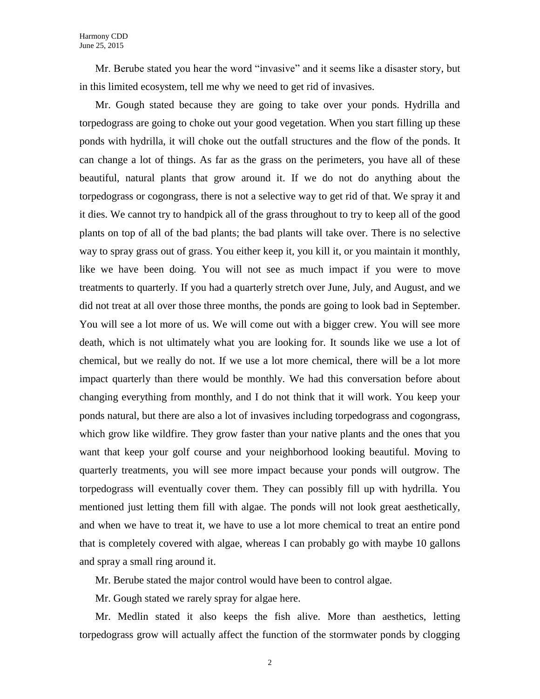Mr. Berube stated you hear the word "invasive" and it seems like a disaster story, but in this limited ecosystem, tell me why we need to get rid of invasives.

Mr. Gough stated because they are going to take over your ponds. Hydrilla and torpedograss are going to choke out your good vegetation. When you start filling up these ponds with hydrilla, it will choke out the outfall structures and the flow of the ponds. It can change a lot of things. As far as the grass on the perimeters, you have all of these beautiful, natural plants that grow around it. If we do not do anything about the torpedograss or cogongrass, there is not a selective way to get rid of that. We spray it and it dies. We cannot try to handpick all of the grass throughout to try to keep all of the good plants on top of all of the bad plants; the bad plants will take over. There is no selective way to spray grass out of grass. You either keep it, you kill it, or you maintain it monthly, like we have been doing. You will not see as much impact if you were to move treatments to quarterly. If you had a quarterly stretch over June, July, and August, and we did not treat at all over those three months, the ponds are going to look bad in September. You will see a lot more of us. We will come out with a bigger crew. You will see more death, which is not ultimately what you are looking for. It sounds like we use a lot of chemical, but we really do not. If we use a lot more chemical, there will be a lot more impact quarterly than there would be monthly. We had this conversation before about changing everything from monthly, and I do not think that it will work. You keep your ponds natural, but there are also a lot of invasives including torpedograss and cogongrass, which grow like wildfire. They grow faster than your native plants and the ones that you want that keep your golf course and your neighborhood looking beautiful. Moving to quarterly treatments, you will see more impact because your ponds will outgrow. The torpedograss will eventually cover them. They can possibly fill up with hydrilla. You mentioned just letting them fill with algae. The ponds will not look great aesthetically, and when we have to treat it, we have to use a lot more chemical to treat an entire pond that is completely covered with algae, whereas I can probably go with maybe 10 gallons and spray a small ring around it.

Mr. Berube stated the major control would have been to control algae.

Mr. Gough stated we rarely spray for algae here.

Mr. Medlin stated it also keeps the fish alive. More than aesthetics, letting torpedograss grow will actually affect the function of the stormwater ponds by clogging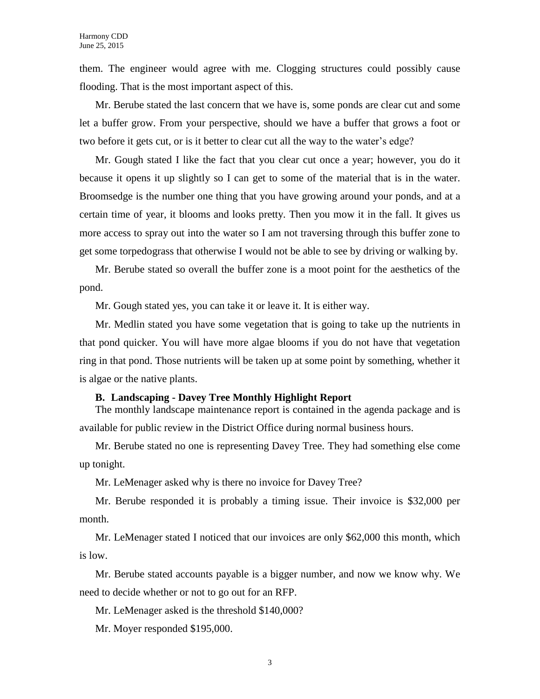them. The engineer would agree with me. Clogging structures could possibly cause flooding. That is the most important aspect of this.

Mr. Berube stated the last concern that we have is, some ponds are clear cut and some let a buffer grow. From your perspective, should we have a buffer that grows a foot or two before it gets cut, or is it better to clear cut all the way to the water's edge?

Mr. Gough stated I like the fact that you clear cut once a year; however, you do it because it opens it up slightly so I can get to some of the material that is in the water. Broomsedge is the number one thing that you have growing around your ponds, and at a certain time of year, it blooms and looks pretty. Then you mow it in the fall. It gives us more access to spray out into the water so I am not traversing through this buffer zone to get some torpedograss that otherwise I would not be able to see by driving or walking by.

Mr. Berube stated so overall the buffer zone is a moot point for the aesthetics of the pond.

Mr. Gough stated yes, you can take it or leave it. It is either way.

Mr. Medlin stated you have some vegetation that is going to take up the nutrients in that pond quicker. You will have more algae blooms if you do not have that vegetation ring in that pond. Those nutrients will be taken up at some point by something, whether it is algae or the native plants.

#### **B. Landscaping - Davey Tree Monthly Highlight Report**

The monthly landscape maintenance report is contained in the agenda package and is available for public review in the District Office during normal business hours.

Mr. Berube stated no one is representing Davey Tree. They had something else come up tonight.

Mr. LeMenager asked why is there no invoice for Davey Tree?

Mr. Berube responded it is probably a timing issue. Their invoice is \$32,000 per month.

Mr. LeMenager stated I noticed that our invoices are only \$62,000 this month, which is low.

Mr. Berube stated accounts payable is a bigger number, and now we know why. We need to decide whether or not to go out for an RFP.

Mr. LeMenager asked is the threshold \$140,000?

Mr. Moyer responded \$195,000.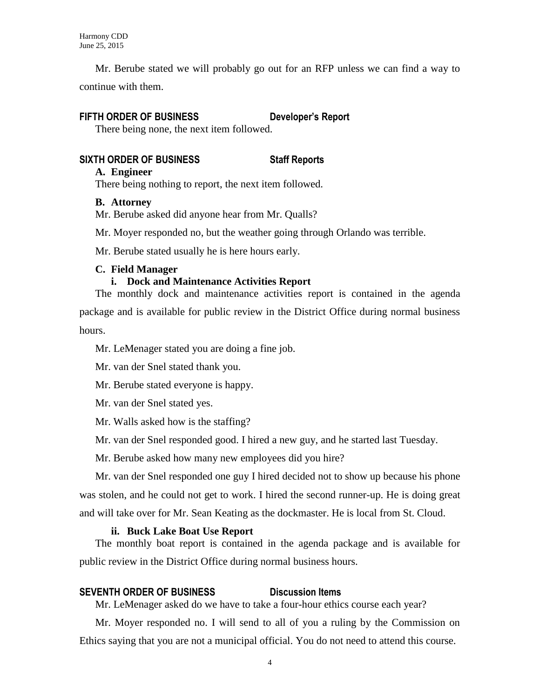Mr. Berube stated we will probably go out for an RFP unless we can find a way to continue with them.

# **FIFTH ORDER OF BUSINESS Developer's Report**

There being none, the next item followed.

# **SIXTH ORDER OF BUSINESS Staff Reports**

### **A. Engineer**

There being nothing to report, the next item followed.

# **B. Attorney**

Mr. Berube asked did anyone hear from Mr. Qualls?

Mr. Moyer responded no, but the weather going through Orlando was terrible.

Mr. Berube stated usually he is here hours early.

# **C. Field Manager**

# **i. Dock and Maintenance Activities Report**

The monthly dock and maintenance activities report is contained in the agenda package and is available for public review in the District Office during normal business hours.

Mr. LeMenager stated you are doing a fine job.

Mr. van der Snel stated thank you.

Mr. Berube stated everyone is happy.

Mr. van der Snel stated yes.

Mr. Walls asked how is the staffing?

Mr. van der Snel responded good. I hired a new guy, and he started last Tuesday.

Mr. Berube asked how many new employees did you hire?

Mr. van der Snel responded one guy I hired decided not to show up because his phone was stolen, and he could not get to work. I hired the second runner-up. He is doing great and will take over for Mr. Sean Keating as the dockmaster. He is local from St. Cloud.

# **ii. Buck Lake Boat Use Report**

The monthly boat report is contained in the agenda package and is available for public review in the District Office during normal business hours.

# **SEVENTH ORDER OF BUSINESS Discussion Items**

Mr. LeMenager asked do we have to take a four-hour ethics course each year?

Mr. Moyer responded no. I will send to all of you a ruling by the Commission on Ethics saying that you are not a municipal official. You do not need to attend this course.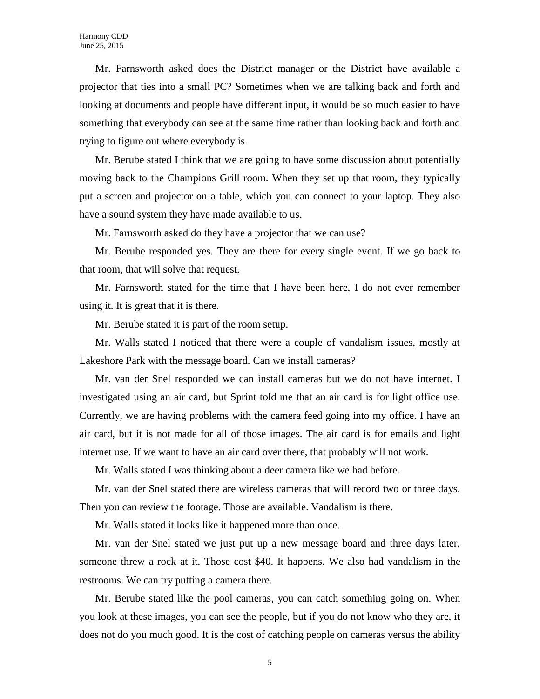Mr. Farnsworth asked does the District manager or the District have available a projector that ties into a small PC? Sometimes when we are talking back and forth and looking at documents and people have different input, it would be so much easier to have something that everybody can see at the same time rather than looking back and forth and trying to figure out where everybody is.

Mr. Berube stated I think that we are going to have some discussion about potentially moving back to the Champions Grill room. When they set up that room, they typically put a screen and projector on a table, which you can connect to your laptop. They also have a sound system they have made available to us.

Mr. Farnsworth asked do they have a projector that we can use?

Mr. Berube responded yes. They are there for every single event. If we go back to that room, that will solve that request.

Mr. Farnsworth stated for the time that I have been here, I do not ever remember using it. It is great that it is there.

Mr. Berube stated it is part of the room setup.

Mr. Walls stated I noticed that there were a couple of vandalism issues, mostly at Lakeshore Park with the message board. Can we install cameras?

Mr. van der Snel responded we can install cameras but we do not have internet. I investigated using an air card, but Sprint told me that an air card is for light office use. Currently, we are having problems with the camera feed going into my office. I have an air card, but it is not made for all of those images. The air card is for emails and light internet use. If we want to have an air card over there, that probably will not work.

Mr. Walls stated I was thinking about a deer camera like we had before.

Mr. van der Snel stated there are wireless cameras that will record two or three days. Then you can review the footage. Those are available. Vandalism is there.

Mr. Walls stated it looks like it happened more than once.

Mr. van der Snel stated we just put up a new message board and three days later, someone threw a rock at it. Those cost \$40. It happens. We also had vandalism in the restrooms. We can try putting a camera there.

Mr. Berube stated like the pool cameras, you can catch something going on. When you look at these images, you can see the people, but if you do not know who they are, it does not do you much good. It is the cost of catching people on cameras versus the ability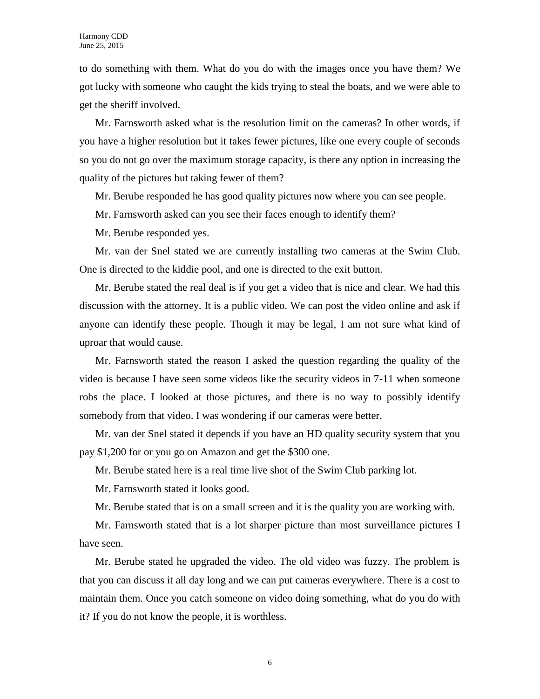to do something with them. What do you do with the images once you have them? We got lucky with someone who caught the kids trying to steal the boats, and we were able to get the sheriff involved.

Mr. Farnsworth asked what is the resolution limit on the cameras? In other words, if you have a higher resolution but it takes fewer pictures, like one every couple of seconds so you do not go over the maximum storage capacity, is there any option in increasing the quality of the pictures but taking fewer of them?

Mr. Berube responded he has good quality pictures now where you can see people.

Mr. Farnsworth asked can you see their faces enough to identify them?

Mr. Berube responded yes.

Mr. van der Snel stated we are currently installing two cameras at the Swim Club. One is directed to the kiddie pool, and one is directed to the exit button.

Mr. Berube stated the real deal is if you get a video that is nice and clear. We had this discussion with the attorney. It is a public video. We can post the video online and ask if anyone can identify these people. Though it may be legal, I am not sure what kind of uproar that would cause.

Mr. Farnsworth stated the reason I asked the question regarding the quality of the video is because I have seen some videos like the security videos in 7-11 when someone robs the place. I looked at those pictures, and there is no way to possibly identify somebody from that video. I was wondering if our cameras were better.

Mr. van der Snel stated it depends if you have an HD quality security system that you pay \$1,200 for or you go on Amazon and get the \$300 one.

Mr. Berube stated here is a real time live shot of the Swim Club parking lot.

Mr. Farnsworth stated it looks good.

Mr. Berube stated that is on a small screen and it is the quality you are working with.

Mr. Farnsworth stated that is a lot sharper picture than most surveillance pictures I have seen.

Mr. Berube stated he upgraded the video. The old video was fuzzy. The problem is that you can discuss it all day long and we can put cameras everywhere. There is a cost to maintain them. Once you catch someone on video doing something, what do you do with it? If you do not know the people, it is worthless.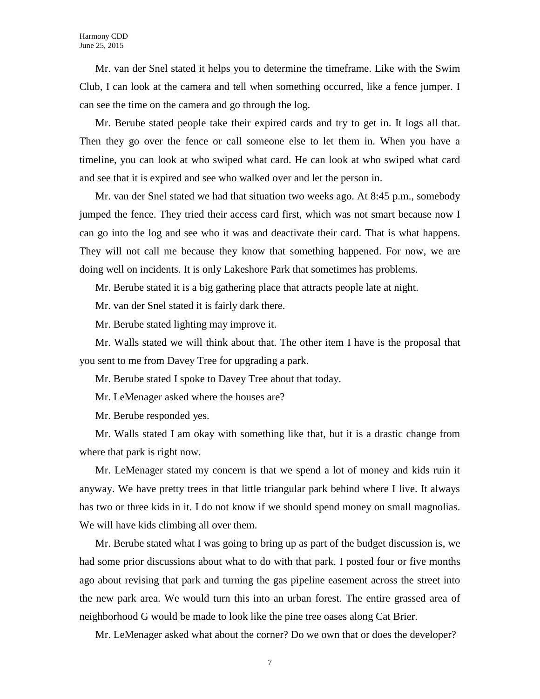Mr. van der Snel stated it helps you to determine the timeframe. Like with the Swim Club, I can look at the camera and tell when something occurred, like a fence jumper. I can see the time on the camera and go through the log.

Mr. Berube stated people take their expired cards and try to get in. It logs all that. Then they go over the fence or call someone else to let them in. When you have a timeline, you can look at who swiped what card. He can look at who swiped what card and see that it is expired and see who walked over and let the person in.

Mr. van der Snel stated we had that situation two weeks ago. At 8:45 p.m., somebody jumped the fence. They tried their access card first, which was not smart because now I can go into the log and see who it was and deactivate their card. That is what happens. They will not call me because they know that something happened. For now, we are doing well on incidents. It is only Lakeshore Park that sometimes has problems.

Mr. Berube stated it is a big gathering place that attracts people late at night.

Mr. van der Snel stated it is fairly dark there.

Mr. Berube stated lighting may improve it.

Mr. Walls stated we will think about that. The other item I have is the proposal that you sent to me from Davey Tree for upgrading a park.

Mr. Berube stated I spoke to Davey Tree about that today.

Mr. LeMenager asked where the houses are?

Mr. Berube responded yes.

Mr. Walls stated I am okay with something like that, but it is a drastic change from where that park is right now.

Mr. LeMenager stated my concern is that we spend a lot of money and kids ruin it anyway. We have pretty trees in that little triangular park behind where I live. It always has two or three kids in it. I do not know if we should spend money on small magnolias. We will have kids climbing all over them.

Mr. Berube stated what I was going to bring up as part of the budget discussion is, we had some prior discussions about what to do with that park. I posted four or five months ago about revising that park and turning the gas pipeline easement across the street into the new park area. We would turn this into an urban forest. The entire grassed area of neighborhood G would be made to look like the pine tree oases along Cat Brier.

Mr. LeMenager asked what about the corner? Do we own that or does the developer?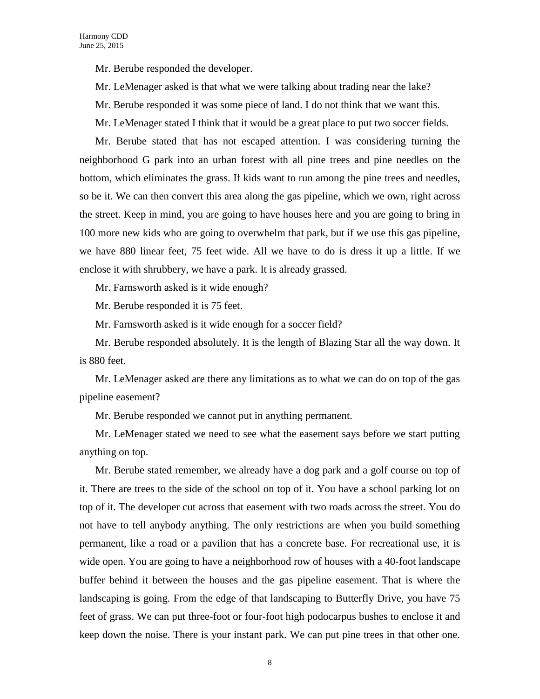Mr. Berube responded the developer.

Mr. LeMenager asked is that what we were talking about trading near the lake?

Mr. Berube responded it was some piece of land. I do not think that we want this.

Mr. LeMenager stated I think that it would be a great place to put two soccer fields.

Mr. Berube stated that has not escaped attention. I was considering turning the neighborhood G park into an urban forest with all pine trees and pine needles on the bottom, which eliminates the grass. If kids want to run among the pine trees and needles, so be it. We can then convert this area along the gas pipeline, which we own, right across the street. Keep in mind, you are going to have houses here and you are going to bring in 100 more new kids who are going to overwhelm that park, but if we use this gas pipeline, we have 880 linear feet, 75 feet wide. All we have to do is dress it up a little. If we enclose it with shrubbery, we have a park. It is already grassed.

Mr. Farnsworth asked is it wide enough?

Mr. Berube responded it is 75 feet.

Mr. Farnsworth asked is it wide enough for a soccer field?

Mr. Berube responded absolutely. It is the length of Blazing Star all the way down. It is 880 feet.

Mr. LeMenager asked are there any limitations as to what we can do on top of the gas pipeline easement?

Mr. Berube responded we cannot put in anything permanent.

Mr. LeMenager stated we need to see what the easement says before we start putting anything on top.

Mr. Berube stated remember, we already have a dog park and a golf course on top of it. There are trees to the side of the school on top of it. You have a school parking lot on top of it. The developer cut across that easement with two roads across the street. You do not have to tell anybody anything. The only restrictions are when you build something permanent, like a road or a pavilion that has a concrete base. For recreational use, it is wide open. You are going to have a neighborhood row of houses with a 40-foot landscape buffer behind it between the houses and the gas pipeline easement. That is where the landscaping is going. From the edge of that landscaping to Butterfly Drive, you have 75 feet of grass. We can put three-foot or four-foot high podocarpus bushes to enclose it and keep down the noise. There is your instant park. We can put pine trees in that other one.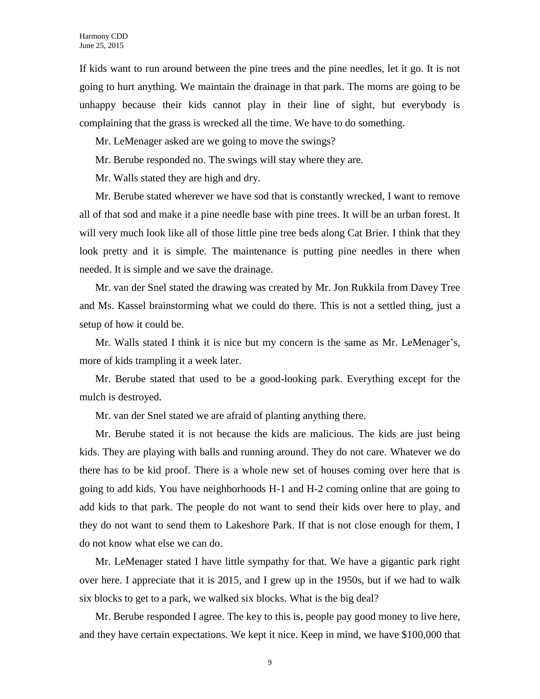If kids want to run around between the pine trees and the pine needles, let it go. It is not going to hurt anything. We maintain the drainage in that park. The moms are going to be unhappy because their kids cannot play in their line of sight, but everybody is complaining that the grass is wrecked all the time. We have to do something.

Mr. LeMenager asked are we going to move the swings?

Mr. Berube responded no. The swings will stay where they are.

Mr. Walls stated they are high and dry.

Mr. Berube stated wherever we have sod that is constantly wrecked, I want to remove all of that sod and make it a pine needle base with pine trees. It will be an urban forest. It will very much look like all of those little pine tree beds along Cat Brier. I think that they look pretty and it is simple. The maintenance is putting pine needles in there when needed. It is simple and we save the drainage.

Mr. van der Snel stated the drawing was created by Mr. Jon Rukkila from Davey Tree and Ms. Kassel brainstorming what we could do there. This is not a settled thing, just a setup of how it could be.

Mr. Walls stated I think it is nice but my concern is the same as Mr. LeMenager's, more of kids trampling it a week later.

Mr. Berube stated that used to be a good-looking park. Everything except for the mulch is destroyed.

Mr. van der Snel stated we are afraid of planting anything there.

Mr. Berube stated it is not because the kids are malicious. The kids are just being kids. They are playing with balls and running around. They do not care. Whatever we do there has to be kid proof. There is a whole new set of houses coming over here that is going to add kids. You have neighborhoods H-1 and H-2 coming online that are going to add kids to that park. The people do not want to send their kids over here to play, and they do not want to send them to Lakeshore Park. If that is not close enough for them, I do not know what else we can do.

Mr. LeMenager stated I have little sympathy for that. We have a gigantic park right over here. I appreciate that it is 2015, and I grew up in the 1950s, but if we had to walk six blocks to get to a park, we walked six blocks. What is the big deal?

Mr. Berube responded I agree. The key to this is, people pay good money to live here, and they have certain expectations. We kept it nice. Keep in mind, we have \$100,000 that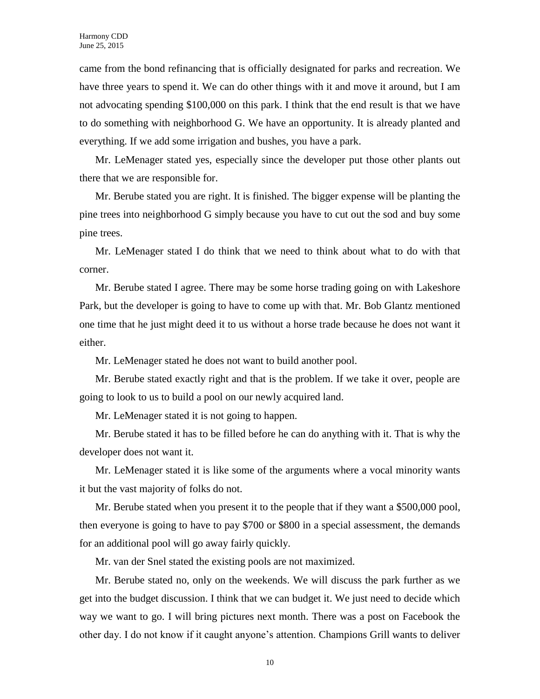came from the bond refinancing that is officially designated for parks and recreation. We have three years to spend it. We can do other things with it and move it around, but I am not advocating spending \$100,000 on this park. I think that the end result is that we have to do something with neighborhood G. We have an opportunity. It is already planted and everything. If we add some irrigation and bushes, you have a park.

Mr. LeMenager stated yes, especially since the developer put those other plants out there that we are responsible for.

Mr. Berube stated you are right. It is finished. The bigger expense will be planting the pine trees into neighborhood G simply because you have to cut out the sod and buy some pine trees.

Mr. LeMenager stated I do think that we need to think about what to do with that corner.

Mr. Berube stated I agree. There may be some horse trading going on with Lakeshore Park, but the developer is going to have to come up with that. Mr. Bob Glantz mentioned one time that he just might deed it to us without a horse trade because he does not want it either.

Mr. LeMenager stated he does not want to build another pool.

Mr. Berube stated exactly right and that is the problem. If we take it over, people are going to look to us to build a pool on our newly acquired land.

Mr. LeMenager stated it is not going to happen.

Mr. Berube stated it has to be filled before he can do anything with it. That is why the developer does not want it.

Mr. LeMenager stated it is like some of the arguments where a vocal minority wants it but the vast majority of folks do not.

Mr. Berube stated when you present it to the people that if they want a \$500,000 pool, then everyone is going to have to pay \$700 or \$800 in a special assessment, the demands for an additional pool will go away fairly quickly.

Mr. van der Snel stated the existing pools are not maximized.

Mr. Berube stated no, only on the weekends. We will discuss the park further as we get into the budget discussion. I think that we can budget it. We just need to decide which way we want to go. I will bring pictures next month. There was a post on Facebook the other day. I do not know if it caught anyone's attention. Champions Grill wants to deliver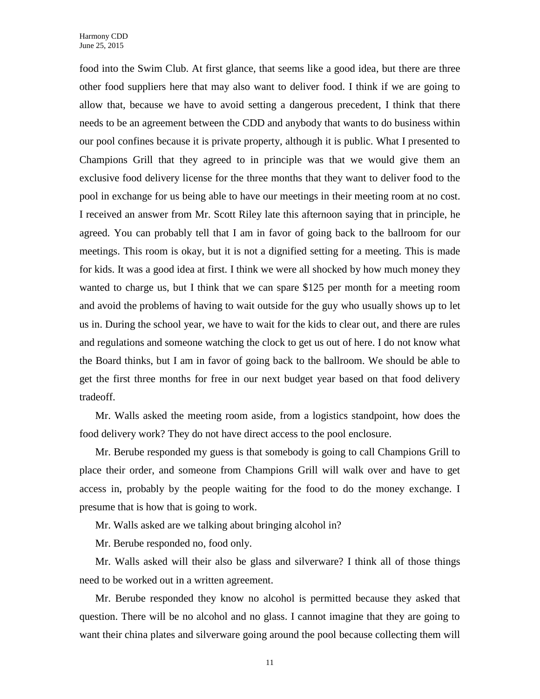food into the Swim Club. At first glance, that seems like a good idea, but there are three other food suppliers here that may also want to deliver food. I think if we are going to allow that, because we have to avoid setting a dangerous precedent, I think that there needs to be an agreement between the CDD and anybody that wants to do business within our pool confines because it is private property, although it is public. What I presented to Champions Grill that they agreed to in principle was that we would give them an exclusive food delivery license for the three months that they want to deliver food to the pool in exchange for us being able to have our meetings in their meeting room at no cost. I received an answer from Mr. Scott Riley late this afternoon saying that in principle, he agreed. You can probably tell that I am in favor of going back to the ballroom for our meetings. This room is okay, but it is not a dignified setting for a meeting. This is made for kids. It was a good idea at first. I think we were all shocked by how much money they wanted to charge us, but I think that we can spare \$125 per month for a meeting room and avoid the problems of having to wait outside for the guy who usually shows up to let us in. During the school year, we have to wait for the kids to clear out, and there are rules and regulations and someone watching the clock to get us out of here. I do not know what the Board thinks, but I am in favor of going back to the ballroom. We should be able to get the first three months for free in our next budget year based on that food delivery tradeoff.

Mr. Walls asked the meeting room aside, from a logistics standpoint, how does the food delivery work? They do not have direct access to the pool enclosure.

Mr. Berube responded my guess is that somebody is going to call Champions Grill to place their order, and someone from Champions Grill will walk over and have to get access in, probably by the people waiting for the food to do the money exchange. I presume that is how that is going to work.

Mr. Walls asked are we talking about bringing alcohol in?

Mr. Berube responded no, food only.

Mr. Walls asked will their also be glass and silverware? I think all of those things need to be worked out in a written agreement.

Mr. Berube responded they know no alcohol is permitted because they asked that question. There will be no alcohol and no glass. I cannot imagine that they are going to want their china plates and silverware going around the pool because collecting them will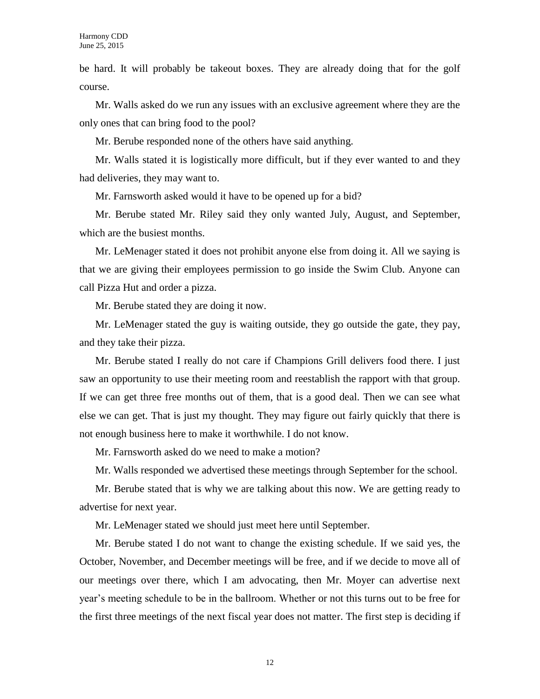be hard. It will probably be takeout boxes. They are already doing that for the golf course.

Mr. Walls asked do we run any issues with an exclusive agreement where they are the only ones that can bring food to the pool?

Mr. Berube responded none of the others have said anything.

Mr. Walls stated it is logistically more difficult, but if they ever wanted to and they had deliveries, they may want to.

Mr. Farnsworth asked would it have to be opened up for a bid?

Mr. Berube stated Mr. Riley said they only wanted July, August, and September, which are the busiest months.

Mr. LeMenager stated it does not prohibit anyone else from doing it. All we saying is that we are giving their employees permission to go inside the Swim Club. Anyone can call Pizza Hut and order a pizza.

Mr. Berube stated they are doing it now.

Mr. LeMenager stated the guy is waiting outside, they go outside the gate, they pay, and they take their pizza.

Mr. Berube stated I really do not care if Champions Grill delivers food there. I just saw an opportunity to use their meeting room and reestablish the rapport with that group. If we can get three free months out of them, that is a good deal. Then we can see what else we can get. That is just my thought. They may figure out fairly quickly that there is not enough business here to make it worthwhile. I do not know.

Mr. Farnsworth asked do we need to make a motion?

Mr. Walls responded we advertised these meetings through September for the school.

Mr. Berube stated that is why we are talking about this now. We are getting ready to advertise for next year.

Mr. LeMenager stated we should just meet here until September.

Mr. Berube stated I do not want to change the existing schedule. If we said yes, the October, November, and December meetings will be free, and if we decide to move all of our meetings over there, which I am advocating, then Mr. Moyer can advertise next year's meeting schedule to be in the ballroom. Whether or not this turns out to be free for the first three meetings of the next fiscal year does not matter. The first step is deciding if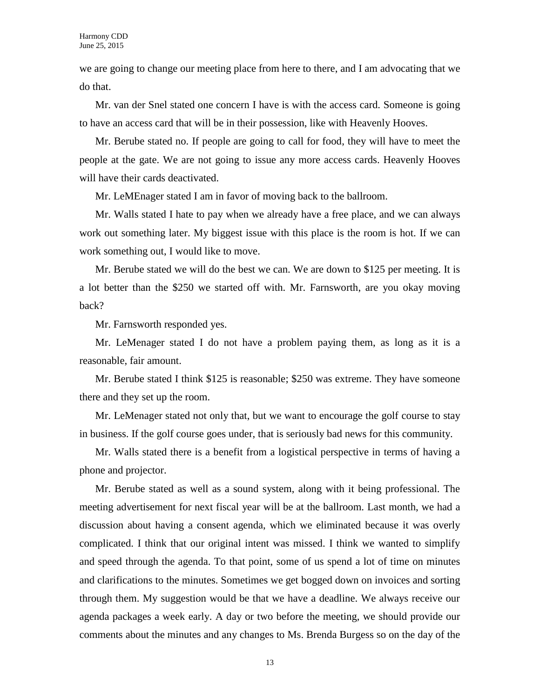we are going to change our meeting place from here to there, and I am advocating that we do that.

Mr. van der Snel stated one concern I have is with the access card. Someone is going to have an access card that will be in their possession, like with Heavenly Hooves.

Mr. Berube stated no. If people are going to call for food, they will have to meet the people at the gate. We are not going to issue any more access cards. Heavenly Hooves will have their cards deactivated.

Mr. LeMEnager stated I am in favor of moving back to the ballroom.

Mr. Walls stated I hate to pay when we already have a free place, and we can always work out something later. My biggest issue with this place is the room is hot. If we can work something out, I would like to move.

Mr. Berube stated we will do the best we can. We are down to \$125 per meeting. It is a lot better than the \$250 we started off with. Mr. Farnsworth, are you okay moving back?

Mr. Farnsworth responded yes.

Mr. LeMenager stated I do not have a problem paying them, as long as it is a reasonable, fair amount.

Mr. Berube stated I think \$125 is reasonable; \$250 was extreme. They have someone there and they set up the room.

Mr. LeMenager stated not only that, but we want to encourage the golf course to stay in business. If the golf course goes under, that is seriously bad news for this community.

Mr. Walls stated there is a benefit from a logistical perspective in terms of having a phone and projector.

Mr. Berube stated as well as a sound system, along with it being professional. The meeting advertisement for next fiscal year will be at the ballroom. Last month, we had a discussion about having a consent agenda, which we eliminated because it was overly complicated. I think that our original intent was missed. I think we wanted to simplify and speed through the agenda. To that point, some of us spend a lot of time on minutes and clarifications to the minutes. Sometimes we get bogged down on invoices and sorting through them. My suggestion would be that we have a deadline. We always receive our agenda packages a week early. A day or two before the meeting, we should provide our comments about the minutes and any changes to Ms. Brenda Burgess so on the day of the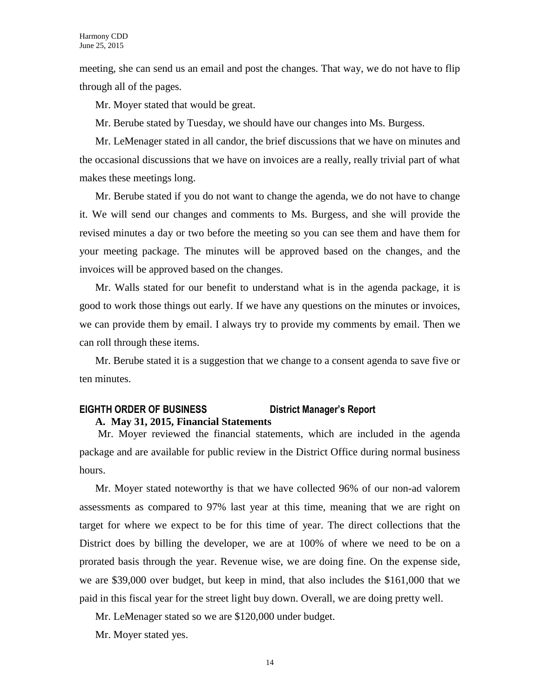meeting, she can send us an email and post the changes. That way, we do not have to flip through all of the pages.

Mr. Moyer stated that would be great.

Mr. Berube stated by Tuesday, we should have our changes into Ms. Burgess.

Mr. LeMenager stated in all candor, the brief discussions that we have on minutes and the occasional discussions that we have on invoices are a really, really trivial part of what makes these meetings long.

Mr. Berube stated if you do not want to change the agenda, we do not have to change it. We will send our changes and comments to Ms. Burgess, and she will provide the revised minutes a day or two before the meeting so you can see them and have them for your meeting package. The minutes will be approved based on the changes, and the invoices will be approved based on the changes.

Mr. Walls stated for our benefit to understand what is in the agenda package, it is good to work those things out early. If we have any questions on the minutes or invoices, we can provide them by email. I always try to provide my comments by email. Then we can roll through these items.

Mr. Berube stated it is a suggestion that we change to a consent agenda to save five or ten minutes.

### **EIGHTH ORDER OF BUSINESS District Manager's Report A. May 31, 2015, Financial Statements**

Mr. Moyer reviewed the financial statements, which are included in the agenda package and are available for public review in the District Office during normal business hours.

Mr. Moyer stated noteworthy is that we have collected 96% of our non-ad valorem assessments as compared to 97% last year at this time, meaning that we are right on target for where we expect to be for this time of year. The direct collections that the District does by billing the developer, we are at 100% of where we need to be on a prorated basis through the year. Revenue wise, we are doing fine. On the expense side, we are \$39,000 over budget, but keep in mind, that also includes the \$161,000 that we paid in this fiscal year for the street light buy down. Overall, we are doing pretty well.

Mr. LeMenager stated so we are \$120,000 under budget.

Mr. Moyer stated yes.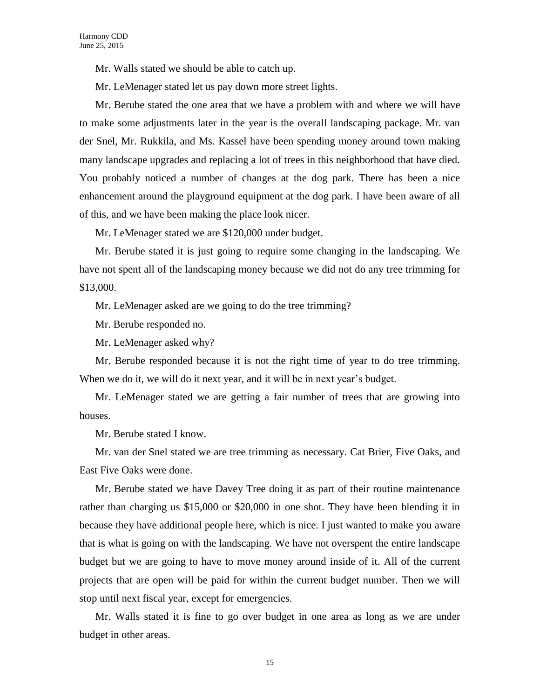Mr. Walls stated we should be able to catch up.

Mr. LeMenager stated let us pay down more street lights.

Mr. Berube stated the one area that we have a problem with and where we will have to make some adjustments later in the year is the overall landscaping package. Mr. van der Snel, Mr. Rukkila, and Ms. Kassel have been spending money around town making many landscape upgrades and replacing a lot of trees in this neighborhood that have died. You probably noticed a number of changes at the dog park. There has been a nice enhancement around the playground equipment at the dog park. I have been aware of all of this, and we have been making the place look nicer.

Mr. LeMenager stated we are \$120,000 under budget.

Mr. Berube stated it is just going to require some changing in the landscaping. We have not spent all of the landscaping money because we did not do any tree trimming for \$13,000.

Mr. LeMenager asked are we going to do the tree trimming?

Mr. Berube responded no.

Mr. LeMenager asked why?

Mr. Berube responded because it is not the right time of year to do tree trimming. When we do it, we will do it next year, and it will be in next year's budget.

Mr. LeMenager stated we are getting a fair number of trees that are growing into houses.

Mr. Berube stated I know.

Mr. van der Snel stated we are tree trimming as necessary. Cat Brier, Five Oaks, and East Five Oaks were done.

Mr. Berube stated we have Davey Tree doing it as part of their routine maintenance rather than charging us \$15,000 or \$20,000 in one shot. They have been blending it in because they have additional people here, which is nice. I just wanted to make you aware that is what is going on with the landscaping. We have not overspent the entire landscape budget but we are going to have to move money around inside of it. All of the current projects that are open will be paid for within the current budget number. Then we will stop until next fiscal year, except for emergencies.

Mr. Walls stated it is fine to go over budget in one area as long as we are under budget in other areas.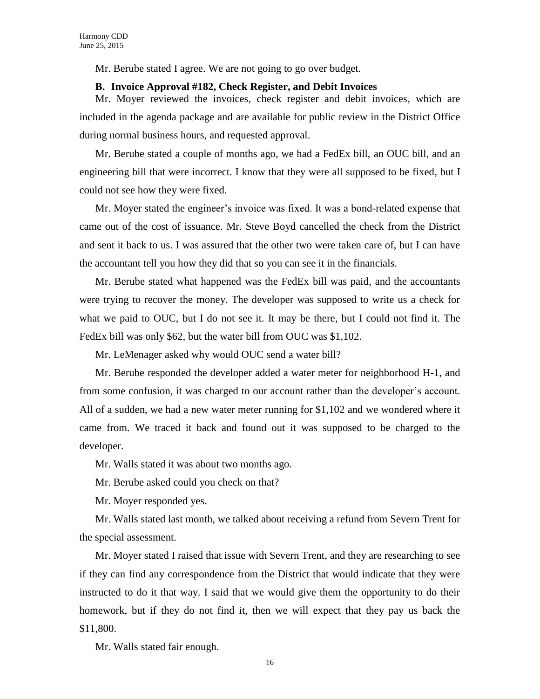Mr. Berube stated I agree. We are not going to go over budget.

#### **B. Invoice Approval #182, Check Register, and Debit Invoices**

Mr. Moyer reviewed the invoices, check register and debit invoices, which are included in the agenda package and are available for public review in the District Office during normal business hours, and requested approval.

Mr. Berube stated a couple of months ago, we had a FedEx bill, an OUC bill, and an engineering bill that were incorrect. I know that they were all supposed to be fixed, but I could not see how they were fixed.

Mr. Moyer stated the engineer's invoice was fixed. It was a bond-related expense that came out of the cost of issuance. Mr. Steve Boyd cancelled the check from the District and sent it back to us. I was assured that the other two were taken care of, but I can have the accountant tell you how they did that so you can see it in the financials.

Mr. Berube stated what happened was the FedEx bill was paid, and the accountants were trying to recover the money. The developer was supposed to write us a check for what we paid to OUC, but I do not see it. It may be there, but I could not find it. The FedEx bill was only \$62, but the water bill from OUC was \$1,102.

Mr. LeMenager asked why would OUC send a water bill?

Mr. Berube responded the developer added a water meter for neighborhood H-1, and from some confusion, it was charged to our account rather than the developer's account. All of a sudden, we had a new water meter running for \$1,102 and we wondered where it came from. We traced it back and found out it was supposed to be charged to the developer.

Mr. Walls stated it was about two months ago.

Mr. Berube asked could you check on that?

Mr. Moyer responded yes.

Mr. Walls stated last month, we talked about receiving a refund from Severn Trent for the special assessment.

Mr. Moyer stated I raised that issue with Severn Trent, and they are researching to see if they can find any correspondence from the District that would indicate that they were instructed to do it that way. I said that we would give them the opportunity to do their homework, but if they do not find it, then we will expect that they pay us back the \$11,800.

Mr. Walls stated fair enough.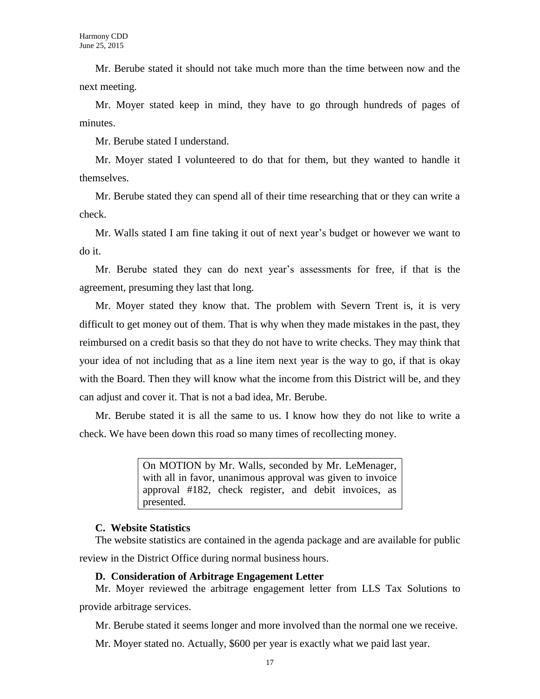Mr. Berube stated it should not take much more than the time between now and the next meeting.

Mr. Moyer stated keep in mind, they have to go through hundreds of pages of minutes.

Mr. Berube stated I understand.

Mr. Moyer stated I volunteered to do that for them, but they wanted to handle it themselves.

Mr. Berube stated they can spend all of their time researching that or they can write a check.

Mr. Walls stated I am fine taking it out of next year's budget or however we want to do it.

Mr. Berube stated they can do next year's assessments for free, if that is the agreement, presuming they last that long.

Mr. Moyer stated they know that. The problem with Severn Trent is, it is very difficult to get money out of them. That is why when they made mistakes in the past, they reimbursed on a credit basis so that they do not have to write checks. They may think that your idea of not including that as a line item next year is the way to go, if that is okay with the Board. Then they will know what the income from this District will be, and they can adjust and cover it. That is not a bad idea, Mr. Berube.

Mr. Berube stated it is all the same to us. I know how they do not like to write a check. We have been down this road so many times of recollecting money.

> On MOTION by Mr. Walls, seconded by Mr. LeMenager, with all in favor, unanimous approval was given to invoice approval #182, check register, and debit invoices, as presented.

### **C. Website Statistics**

The website statistics are contained in the agenda package and are available for public review in the District Office during normal business hours.

### **D. Consideration of Arbitrage Engagement Letter**

Mr. Moyer reviewed the arbitrage engagement letter from LLS Tax Solutions to provide arbitrage services.

Mr. Berube stated it seems longer and more involved than the normal one we receive.

Mr. Moyer stated no. Actually, \$600 per year is exactly what we paid last year.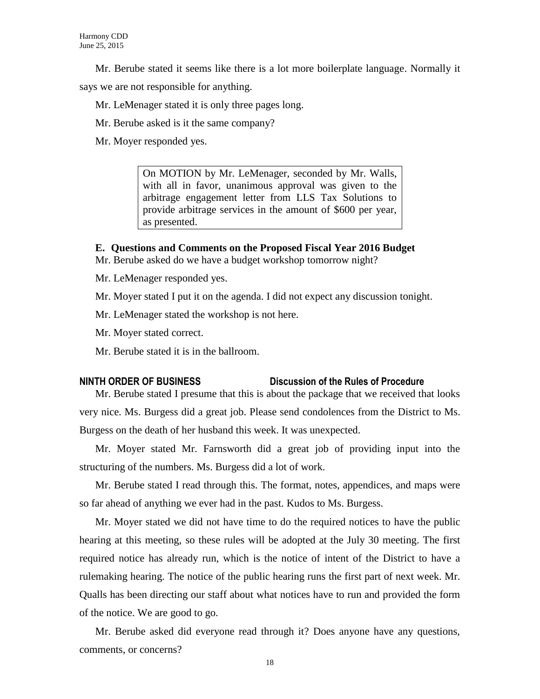Mr. Berube stated it seems like there is a lot more boilerplate language. Normally it

says we are not responsible for anything.

Mr. LeMenager stated it is only three pages long.

Mr. Berube asked is it the same company?

Mr. Moyer responded yes.

On MOTION by Mr. LeMenager, seconded by Mr. Walls, with all in favor, unanimous approval was given to the arbitrage engagement letter from LLS Tax Solutions to provide arbitrage services in the amount of \$600 per year, as presented.

# **E. Questions and Comments on the Proposed Fiscal Year 2016 Budget**

Mr. Berube asked do we have a budget workshop tomorrow night?

Mr. LeMenager responded yes.

Mr. Moyer stated I put it on the agenda. I did not expect any discussion tonight.

Mr. LeMenager stated the workshop is not here.

Mr. Moyer stated correct.

Mr. Berube stated it is in the ballroom.

# **NINTH ORDER OF BUSINESS Discussion of the Rules of Procedure**

Mr. Berube stated I presume that this is about the package that we received that looks very nice. Ms. Burgess did a great job. Please send condolences from the District to Ms. Burgess on the death of her husband this week. It was unexpected.

Mr. Moyer stated Mr. Farnsworth did a great job of providing input into the structuring of the numbers. Ms. Burgess did a lot of work.

Mr. Berube stated I read through this. The format, notes, appendices, and maps were so far ahead of anything we ever had in the past. Kudos to Ms. Burgess.

Mr. Moyer stated we did not have time to do the required notices to have the public hearing at this meeting, so these rules will be adopted at the July 30 meeting. The first required notice has already run, which is the notice of intent of the District to have a rulemaking hearing. The notice of the public hearing runs the first part of next week. Mr. Qualls has been directing our staff about what notices have to run and provided the form of the notice. We are good to go.

Mr. Berube asked did everyone read through it? Does anyone have any questions, comments, or concerns?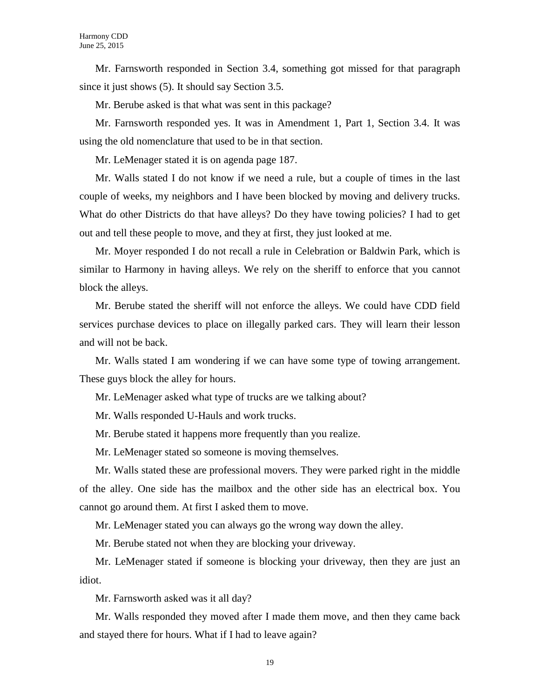Mr. Farnsworth responded in Section 3.4, something got missed for that paragraph since it just shows (5). It should say Section 3.5.

Mr. Berube asked is that what was sent in this package?

Mr. Farnsworth responded yes. It was in Amendment 1, Part 1, Section 3.4. It was using the old nomenclature that used to be in that section.

Mr. LeMenager stated it is on agenda page 187.

Mr. Walls stated I do not know if we need a rule, but a couple of times in the last couple of weeks, my neighbors and I have been blocked by moving and delivery trucks. What do other Districts do that have alleys? Do they have towing policies? I had to get out and tell these people to move, and they at first, they just looked at me.

Mr. Moyer responded I do not recall a rule in Celebration or Baldwin Park, which is similar to Harmony in having alleys. We rely on the sheriff to enforce that you cannot block the alleys.

Mr. Berube stated the sheriff will not enforce the alleys. We could have CDD field services purchase devices to place on illegally parked cars. They will learn their lesson and will not be back.

Mr. Walls stated I am wondering if we can have some type of towing arrangement. These guys block the alley for hours.

Mr. LeMenager asked what type of trucks are we talking about?

Mr. Walls responded U-Hauls and work trucks.

Mr. Berube stated it happens more frequently than you realize.

Mr. LeMenager stated so someone is moving themselves.

Mr. Walls stated these are professional movers. They were parked right in the middle of the alley. One side has the mailbox and the other side has an electrical box. You cannot go around them. At first I asked them to move.

Mr. LeMenager stated you can always go the wrong way down the alley.

Mr. Berube stated not when they are blocking your driveway.

Mr. LeMenager stated if someone is blocking your driveway, then they are just an idiot.

Mr. Farnsworth asked was it all day?

Mr. Walls responded they moved after I made them move, and then they came back and stayed there for hours. What if I had to leave again?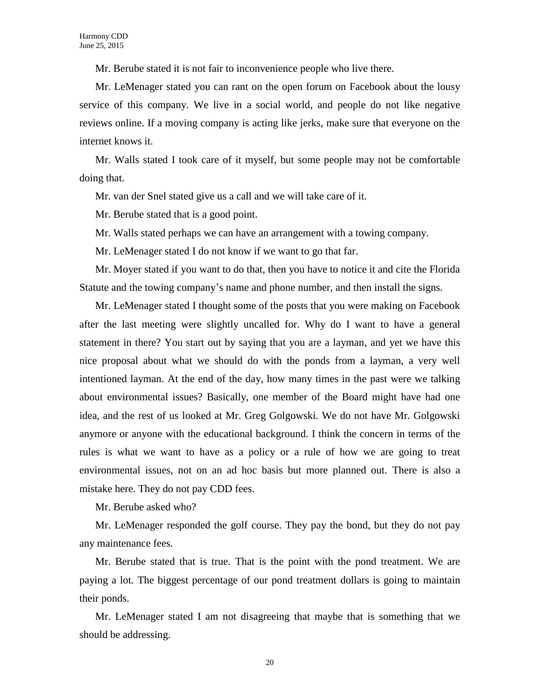Mr. Berube stated it is not fair to inconvenience people who live there.

Mr. LeMenager stated you can rant on the open forum on Facebook about the lousy service of this company. We live in a social world, and people do not like negative reviews online. If a moving company is acting like jerks, make sure that everyone on the internet knows it.

Mr. Walls stated I took care of it myself, but some people may not be comfortable doing that.

Mr. van der Snel stated give us a call and we will take care of it.

Mr. Berube stated that is a good point.

Mr. Walls stated perhaps we can have an arrangement with a towing company.

Mr. LeMenager stated I do not know if we want to go that far.

Mr. Moyer stated if you want to do that, then you have to notice it and cite the Florida Statute and the towing company's name and phone number, and then install the signs.

Mr. LeMenager stated I thought some of the posts that you were making on Facebook after the last meeting were slightly uncalled for. Why do I want to have a general statement in there? You start out by saying that you are a layman, and yet we have this nice proposal about what we should do with the ponds from a layman, a very well intentioned layman. At the end of the day, how many times in the past were we talking about environmental issues? Basically, one member of the Board might have had one idea, and the rest of us looked at Mr. Greg Golgowski. We do not have Mr. Golgowski anymore or anyone with the educational background. I think the concern in terms of the rules is what we want to have as a policy or a rule of how we are going to treat environmental issues, not on an ad hoc basis but more planned out. There is also a mistake here. They do not pay CDD fees.

Mr. Berube asked who?

Mr. LeMenager responded the golf course. They pay the bond, but they do not pay any maintenance fees.

Mr. Berube stated that is true. That is the point with the pond treatment. We are paying a lot. The biggest percentage of our pond treatment dollars is going to maintain their ponds.

Mr. LeMenager stated I am not disagreeing that maybe that is something that we should be addressing.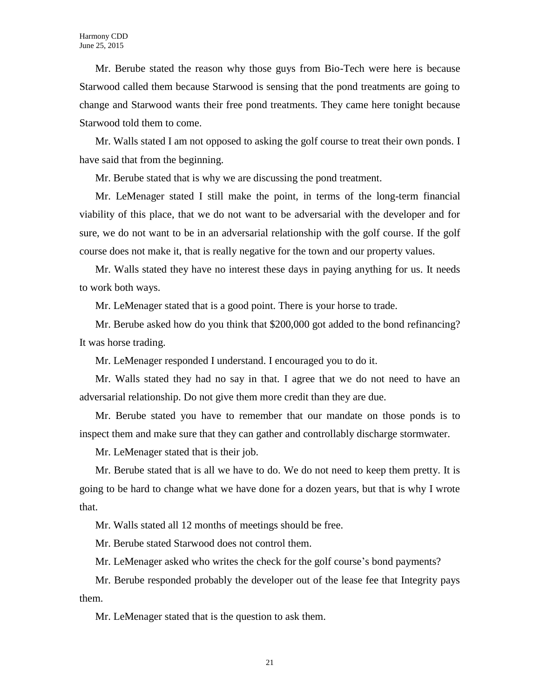Mr. Berube stated the reason why those guys from Bio-Tech were here is because Starwood called them because Starwood is sensing that the pond treatments are going to change and Starwood wants their free pond treatments. They came here tonight because Starwood told them to come.

Mr. Walls stated I am not opposed to asking the golf course to treat their own ponds. I have said that from the beginning.

Mr. Berube stated that is why we are discussing the pond treatment.

Mr. LeMenager stated I still make the point, in terms of the long-term financial viability of this place, that we do not want to be adversarial with the developer and for sure, we do not want to be in an adversarial relationship with the golf course. If the golf course does not make it, that is really negative for the town and our property values.

Mr. Walls stated they have no interest these days in paying anything for us. It needs to work both ways.

Mr. LeMenager stated that is a good point. There is your horse to trade.

Mr. Berube asked how do you think that \$200,000 got added to the bond refinancing? It was horse trading.

Mr. LeMenager responded I understand. I encouraged you to do it.

Mr. Walls stated they had no say in that. I agree that we do not need to have an adversarial relationship. Do not give them more credit than they are due.

Mr. Berube stated you have to remember that our mandate on those ponds is to inspect them and make sure that they can gather and controllably discharge stormwater.

Mr. LeMenager stated that is their job.

Mr. Berube stated that is all we have to do. We do not need to keep them pretty. It is going to be hard to change what we have done for a dozen years, but that is why I wrote that.

Mr. Walls stated all 12 months of meetings should be free.

Mr. Berube stated Starwood does not control them.

Mr. LeMenager asked who writes the check for the golf course's bond payments?

Mr. Berube responded probably the developer out of the lease fee that Integrity pays them.

Mr. LeMenager stated that is the question to ask them.

21